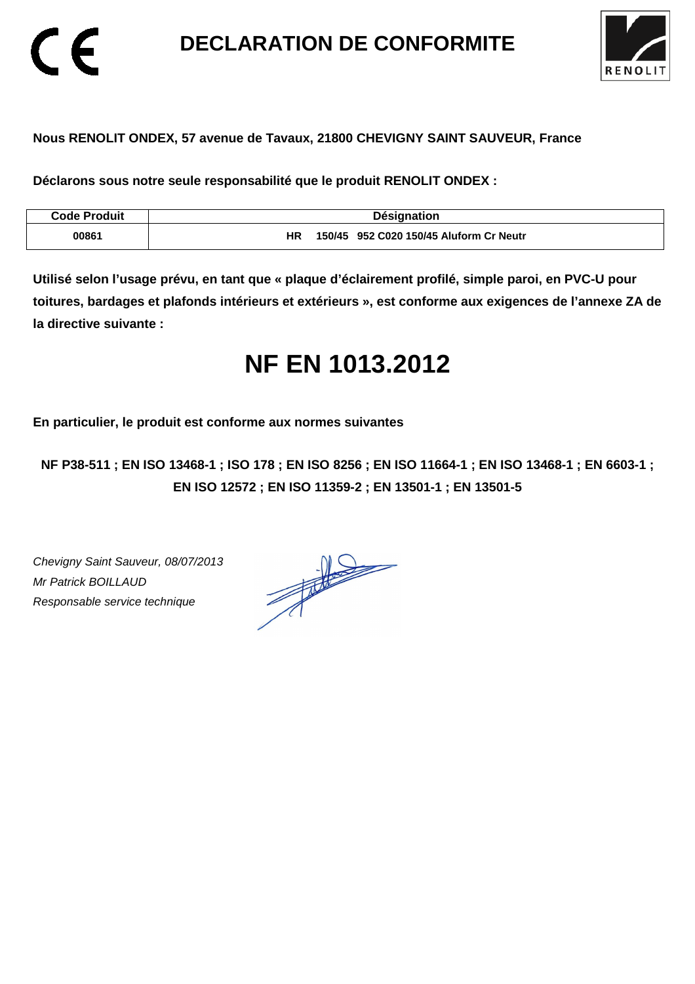**DECLARATION DE CONFORMITE** 



### **Nous RENOLIT ONDEX, 57 avenue de Tavaux, 21800 CHEVIGNY SAINT SAUVEUR, France**

**Déclarons sous notre seule responsabilité que le produit RENOLIT ONDEX :** 

| <b>Code Produit</b> | <b>Désignation</b>                                   |
|---------------------|------------------------------------------------------|
| 00861               | 150/45 952 C020 150/45 Aluform Cr Neutr<br><b>HR</b> |

**Utilisé selon l'usage prévu, en tant que « plaque d'éclairement profilé, simple paroi, en PVC-U pour toitures, bardages et plafonds intérieurs et extérieurs », est conforme aux exigences de l'annexe ZA de la directive suivante :** 

## **NF EN 1013.2012**

**En particulier, le produit est conforme aux normes suivantes** 

**NF P38-511 ; EN ISO 13468-1 ; ISO 178 ; EN ISO 8256 ; EN ISO 11664-1 ; EN ISO 13468-1 ; EN 6603-1 ; EN ISO 12572 ; EN ISO 11359-2 ; EN 13501-1 ; EN 13501-5**

Chevigny Saint Sauveur, 08/07/2013 Mr Patrick BOILLAUD Responsable service technique

 $\epsilon$ 

 $\frac{1}{\sqrt{2}}$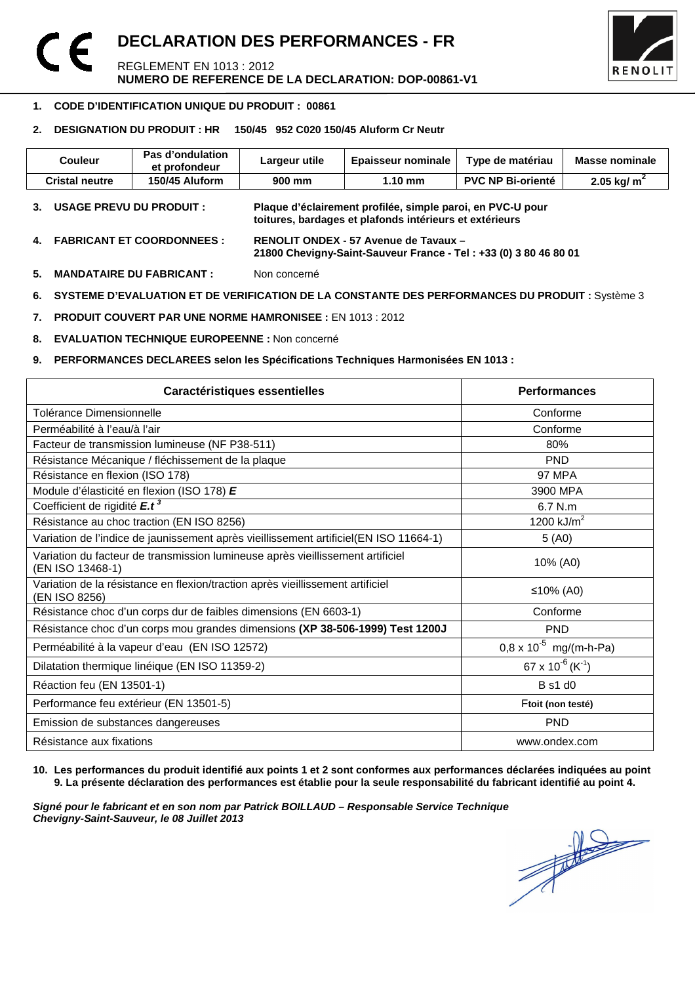### **DECLARATION DES PERFORMANCES - FR**   $\epsilon$ REGLEMENT EN 1013 : 2012 **NUMERO DE REFERENCE DE LA DECLARATION: DOP-00861-V1**



#### 1 **1. CODE D'IDENTIFICATION UNIQUE DU PRODUIT : 00861**

### **2. DESIGNATION DU PRODUIT : HR 150/45 952 C020 150/45 Aluform Cr Neutr**

| <b>Couleur</b>           | Pas d'ondulation<br>et profondeur | Largeur utile | <b>Epaisseur nominale</b>                                                                                             | Type de matériau         | <b>Masse nominale</b>     |
|--------------------------|-----------------------------------|---------------|-----------------------------------------------------------------------------------------------------------------------|--------------------------|---------------------------|
| <b>Cristal neutre</b>    | 150/45 Aluform                    | 900 mm        | $1.10 \text{ mm}$                                                                                                     | <b>PVC NP Bi-orienté</b> | $2.05$ kg/ m <sup>2</sup> |
| USAGE PREVU DU PRODUIT : |                                   |               | Plaque d'éclairement profilée, simple paroi, en PVC-U pour<br>toitures, bardages et plafonds intérieurs et extérieurs |                          |                           |

- **4. FABRICANT ET COORDONNEES : RENOLIT ONDEX 57 Avenue de Tavaux 21800 Chevigny-Saint-Sauveur France - Tel : +33 (0) 3 80 46 80 01**
- **5. MANDATAIRE DU FABRICANT :** Non concerné
- **6. SYSTEME D'EVALUATION ET DE VERIFICATION DE LA CONSTANTE DES PERFORMANCES DU PRODUIT : Système 3**
- **7. PRODUIT COUVERT PAR UNE NORME HAMRONISEE :** EN 1013 : 2012
- **8. EVALUATION TECHNIQUE EUROPEENNE :** Non concerné

### **9. PERFORMANCES DECLAREES selon les Spécifications Techniques Harmonisées EN 1013 :**

| Caractéristiques essentielles                                                                      | <b>Performances</b>                      |
|----------------------------------------------------------------------------------------------------|------------------------------------------|
| Tolérance Dimensionnelle                                                                           | Conforme                                 |
| Perméabilité à l'eau/à l'air                                                                       | Conforme                                 |
| Facteur de transmission lumineuse (NF P38-511)                                                     | 80%                                      |
| Résistance Mécanique / fléchissement de la plaque                                                  | <b>PND</b>                               |
| Résistance en flexion (ISO 178)                                                                    | <b>97 MPA</b>                            |
| Module d'élasticité en flexion (ISO 178) E                                                         | 3900 MPA                                 |
| Coefficient de rigidité E.t <sup>3</sup>                                                           | 6.7 N.m                                  |
| Résistance au choc traction (EN ISO 8256)                                                          | 1200 $kJ/m2$                             |
| Variation de l'indice de jaunissement après vieillissement artificiel(EN ISO 11664-1)              | 5(40)                                    |
| Variation du facteur de transmission lumineuse après vieillissement artificiel<br>(EN ISO 13468-1) | 10% (A0)                                 |
| Variation de la résistance en flexion/traction après vieillissement artificiel<br>(EN ISO 8256)    | ≤10% (A0)                                |
| Résistance choc d'un corps dur de faibles dimensions (EN 6603-1)                                   | Conforme                                 |
| Résistance choc d'un corps mou grandes dimensions (XP 38-506-1999) Test 1200J                      | <b>PND</b>                               |
| Perméabilité à la vapeur d'eau (EN ISO 12572)                                                      | $0.8 \times 10^{-5}$ mg/(m-h-Pa)         |
| Dilatation thermique linéique (EN ISO 11359-2)                                                     | 67 x 10 <sup>-6</sup> (K <sup>-1</sup> ) |
| Réaction feu (EN 13501-1)                                                                          | <b>B</b> s1 d0                           |
| Performance feu extérieur (EN 13501-5)                                                             | Ftoit (non testé)                        |
| Emission de substances dangereuses                                                                 | <b>PND</b>                               |
| Résistance aux fixations                                                                           | www.ondex.com                            |

### **10. Les performances du produit identifié aux points 1 et 2 sont conformes aux performances déclarées indiquées au point 9. La présente déclaration des performances est établie pour la seule responsabilité du fabricant identifié au point 4.**

**Signé pour le fabricant et en son nom par Patrick BOILLAUD – Responsable Service Technique Chevigny-Saint-Sauveur, le 08 Juillet 2013** 

 $\frac{1}{\sqrt{2}}$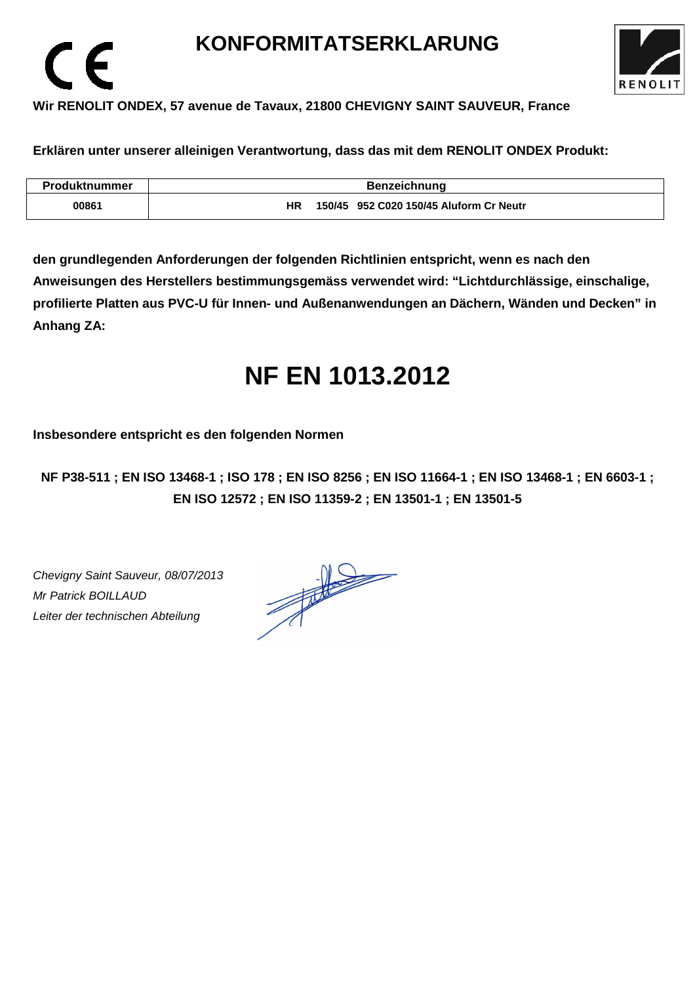## **KONFORMITATSERKLARUNG**



### **Wir RENOLIT ONDEX, 57 avenue de Tavaux, 21800 CHEVIGNY SAINT SAUVEUR, France**

**Erklären unter unserer alleinigen Verantwortung, dass das mit dem RENOLIT ONDEX Produkt:** 

| <b>Produktnummer</b> | <b>Benzeichnung</b>                           |
|----------------------|-----------------------------------------------|
| 00861                | 150/45 952 C020 150/45 Aluform Cr Neutr<br>ΗR |

**den grundlegenden Anforderungen der folgenden Richtlinien entspricht, wenn es nach den Anweisungen des Herstellers bestimmungsgemäss verwendet wird: "Lichtdurchlässige, einschalige, profilierte Platten aus PVC-U für Innen- und Außenanwendungen an Dächern, Wänden und Decken" in Anhang ZA:** 

## **NF EN 1013.2012**

**Insbesondere entspricht es den folgenden Normen** 

**NF P38-511 ; EN ISO 13468-1 ; ISO 178 ; EN ISO 8256 ; EN ISO 11664-1 ; EN ISO 13468-1 ; EN 6603-1 ; EN ISO 12572 ; EN ISO 11359-2 ; EN 13501-1 ; EN 13501-5**

Chevigny Saint Sauveur, 08/07/2013 Mr Patrick BOILLAUD Leiter der technischen Abteilung

 $\epsilon$ 

 $\frac{1}{\sqrt{1-\frac{1}{2}}}\left( \frac{1}{\sqrt{1-\frac{1}{2}}}\right)$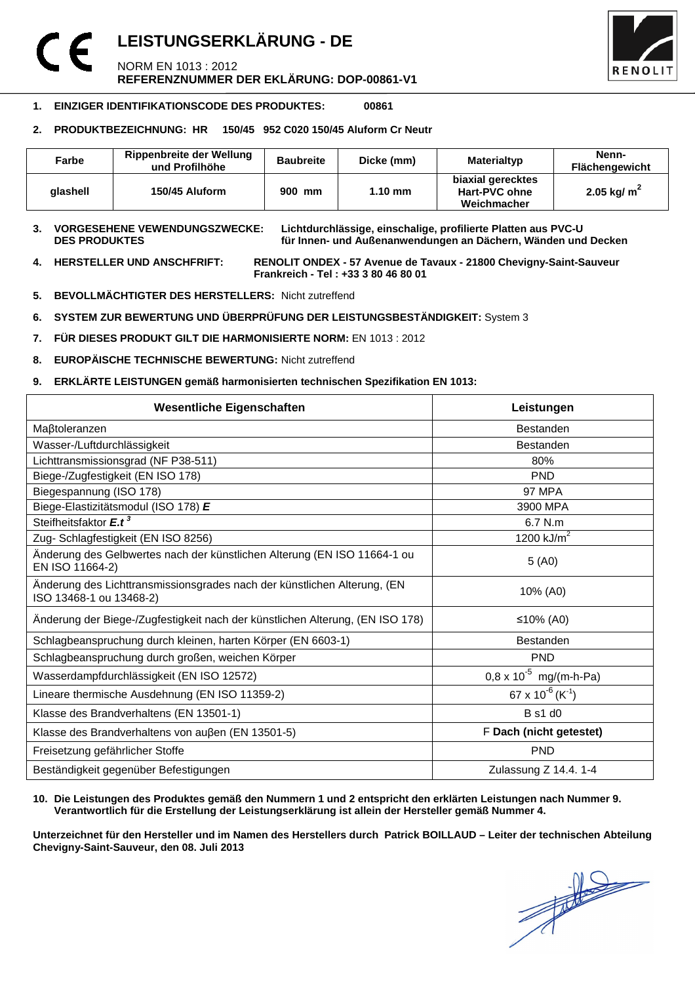## **LEISTUNGSERKLÄRUNG - DE**  NORM EN 1013 : 2012 **REFERENZNUMMER DER EKLÄRUNG: DOP-00861-V1**



### **1. EINZIGER IDENTIFIKATIONSCODE DES PRODUKTES: 00861**

### **2. PRODUKTBEZEICHNUNG: HR 150/45 952 C020 150/45 Aluform Cr Neutr**

| Farbe    | Rippenbreite der Wellung<br>und Profilhöhe | <b>Baubreite</b> | Dicke (mm)        | Materialtyp                                       | Nenn-<br><b>Flächengewicht</b> |
|----------|--------------------------------------------|------------------|-------------------|---------------------------------------------------|--------------------------------|
| alashell | 150/45 Aluform                             | 900 mm           | $1.10 \text{ mm}$ | biaxial gerecktes<br>Hart-PVC ohne<br>Weichmacher | 2.05 kg/ $m2$                  |

**3. VORGESEHENE VEWENDUNGSZWECKE: Lichtdurchlässige, einschalige, profilierte Platten aus PVC-U**  für Innen- und Außenanwendungen an Dächern, Wänden und Decken

**4. HERSTELLER UND ANSCHFRIFT: RENOLIT ONDEX - 57 Avenue de Tavaux - 21800 Chevigny-Saint-Sauveur Frankreich - Tel : +33 3 80 46 80 01** 

- **5. BEVOLLMÄCHTIGTER DES HERSTELLERS:** Nicht zutreffend
- **6. SYSTEM ZUR BEWERTUNG UND ÜBERPRÜFUNG DER LEISTUNGSBESTÄNDIGKEIT:** System 3
- **7. FÜR DIESES PRODUKT GILT DIE HARMONISIERTE NORM:** EN 1013 : 2012
- **8. EUROPÄISCHE TECHNISCHE BEWERTUNG:** Nicht zutreffend
- **9. ERKLÄRTE LEISTUNGEN gemäß harmonisierten technischen Spezifikation EN 1013:**

| <b>Wesentliche Eigenschaften</b>                                                                    | Leistungen                             |  |
|-----------------------------------------------------------------------------------------------------|----------------------------------------|--|
| Maßtoleranzen                                                                                       | <b>Bestanden</b>                       |  |
| Wasser-/Luftdurchlässigkeit                                                                         | <b>Bestanden</b>                       |  |
| Lichttransmissionsgrad (NF P38-511)                                                                 | 80%                                    |  |
| Biege-/Zugfestigkeit (EN ISO 178)                                                                   | <b>PND</b>                             |  |
| Biegespannung (ISO 178)                                                                             | <b>97 MPA</b>                          |  |
| Biege-Elastizitätsmodul (ISO 178) E                                                                 | 3900 MPA                               |  |
| Steifheitsfaktor E.t <sup>3</sup>                                                                   | 6.7 N.m                                |  |
| Zug- Schlagfestigkeit (EN ISO 8256)                                                                 | 1200 $kJ/m2$                           |  |
| Änderung des Gelbwertes nach der künstlichen Alterung (EN ISO 11664-1 ou<br>EN ISO 11664-2)         | 5(40)                                  |  |
| Änderung des Lichttransmissionsgrades nach der künstlichen Alterung, (EN<br>ISO 13468-1 ou 13468-2) | 10% (A0)                               |  |
| Änderung der Biege-/Zugfestigkeit nach der künstlichen Alterung, (EN ISO 178)                       | ≤10% (A0)                              |  |
| Schlagbeanspruchung durch kleinen, harten Körper (EN 6603-1)                                        | <b>Bestanden</b>                       |  |
| Schlagbeanspruchung durch großen, weichen Körper                                                    | <b>PND</b>                             |  |
| Wasserdampfdurchlässigkeit (EN ISO 12572)                                                           | $0.8 \times 10^{-5}$ mg/(m-h-Pa)       |  |
| Lineare thermische Ausdehnung (EN ISO 11359-2)                                                      | $67 \times 10^{-6}$ (K <sup>-1</sup> ) |  |
| Klasse des Brandverhaltens (EN 13501-1)                                                             | <b>B</b> s1 d0                         |  |
| Klasse des Brandverhaltens von außen (EN 13501-5)                                                   | F Dach (nicht getestet)                |  |
| Freisetzung gefährlicher Stoffe                                                                     | <b>PND</b>                             |  |
| Beständigkeit gegenüber Befestigungen                                                               | Zulassung Z 14.4. 1-4                  |  |

#### **10. Die Leistungen des Produktes gemäß den Nummern 1 und 2 entspricht den erklärten Leistungen nach Nummer 9. Verantwortlich für die Erstellung der Leistungserklärung ist allein der Hersteller gemäß Nummer 4.**

**Unterzeichnet für den Hersteller und im Namen des Herstellers durch Patrick BOILLAUD – Leiter der technischen Abteilung Chevigny-Saint-Sauveur, den 08. Juli 2013**

 $\frac{1}{\sqrt{2}}$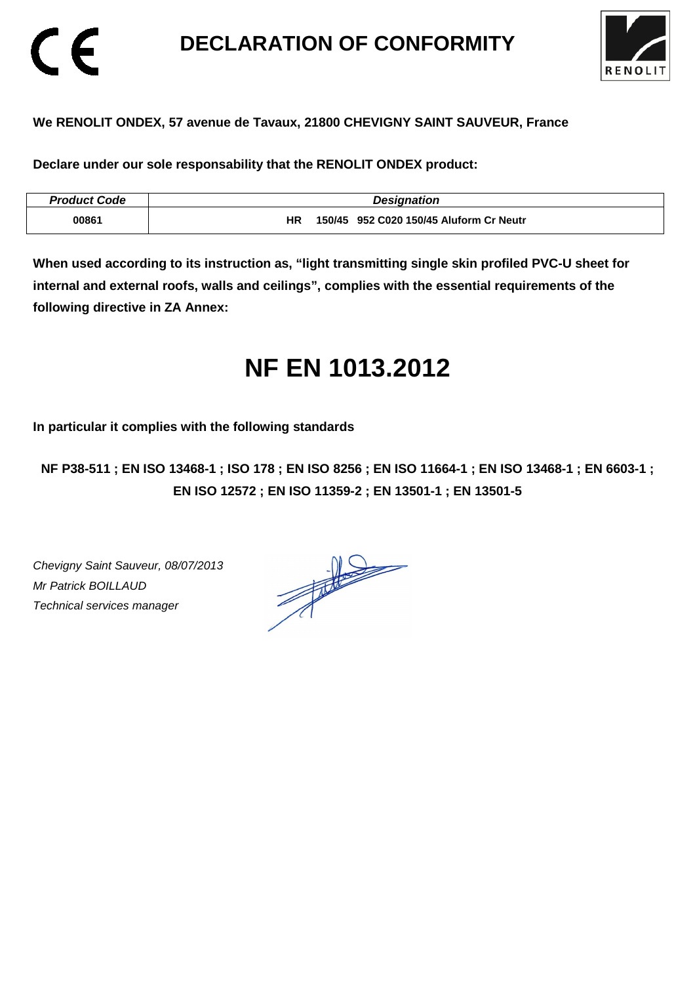## **DECLARATION OF CONFORMITY**



### **We RENOLIT ONDEX, 57 avenue de Tavaux, 21800 CHEVIGNY SAINT SAUVEUR, France**

**Declare under our sole responsability that the RENOLIT ONDEX product:** 

| <b>Product Code</b> | <b>Designation</b>                            |
|---------------------|-----------------------------------------------|
| 00861               | 150/45 952 C020 150/45 Aluform Cr Neutr<br>ΗR |

**When used according to its instruction as, "light transmitting single skin profiled PVC-U sheet for internal and external roofs, walls and ceilings", complies with the essential requirements of the following directive in ZA Annex:** 

## **NF EN 1013.2012**

**In particular it complies with the following standards** 

**NF P38-511 ; EN ISO 13468-1 ; ISO 178 ; EN ISO 8256 ; EN ISO 11664-1 ; EN ISO 13468-1 ; EN 6603-1 ; EN ISO 12572 ; EN ISO 11359-2 ; EN 13501-1 ; EN 13501-5**

Chevigny Saint Sauveur, 08/07/2013 Mr Patrick BOILLAUD Technical services manager

CE

 $\frac{1}{\sqrt{2}}$